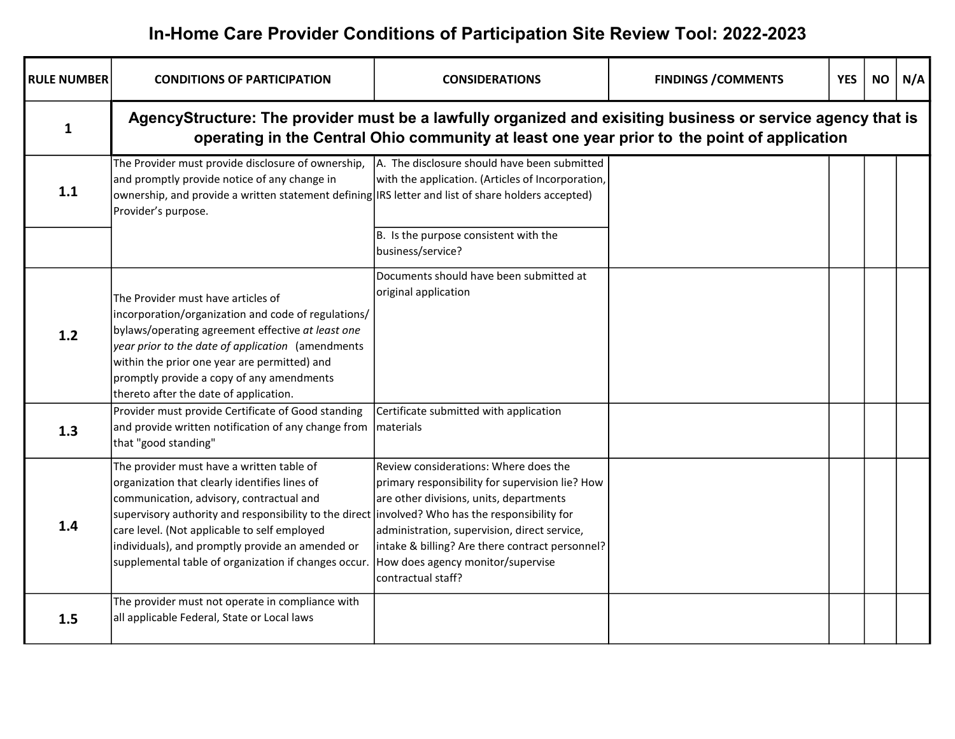## In-Home Care Provider Conditions of Participation Site Review Tool: 2022-2023

| <b>RULE NUMBER</b> | <b>CONDITIONS OF PARTICIPATION</b>                                                                                                                                                                                                                                                                                                                                                                   | <b>CONSIDERATIONS</b>                                                                                                                                                                                                                                                                             | <b>FINDINGS / COMMENTS</b> | <b>YES</b> | <b>NO</b> | N/A |
|--------------------|------------------------------------------------------------------------------------------------------------------------------------------------------------------------------------------------------------------------------------------------------------------------------------------------------------------------------------------------------------------------------------------------------|---------------------------------------------------------------------------------------------------------------------------------------------------------------------------------------------------------------------------------------------------------------------------------------------------|----------------------------|------------|-----------|-----|
| $\mathbf{1}$       | AgencyStructure: The provider must be a lawfully organized and exisiting business or service agency that is                                                                                                                                                                                                                                                                                          | operating in the Central Ohio community at least one year prior to the point of application                                                                                                                                                                                                       |                            |            |           |     |
| 1.1                | The Provider must provide disclosure of ownership,<br>and promptly provide notice of any change in<br>ownership, and provide a written statement defining IRS letter and list of share holders accepted)<br>Provider's purpose.                                                                                                                                                                      | A. The disclosure should have been submitted<br>with the application. (Articles of Incorporation,                                                                                                                                                                                                 |                            |            |           |     |
|                    |                                                                                                                                                                                                                                                                                                                                                                                                      | B. Is the purpose consistent with the<br>business/service?                                                                                                                                                                                                                                        |                            |            |           |     |
| 1.2                | The Provider must have articles of<br>incorporation/organization and code of regulations/<br>bylaws/operating agreement effective at least one<br>year prior to the date of application (amendments<br>within the prior one year are permitted) and<br>promptly provide a copy of any amendments<br>thereto after the date of application.<br>Provider must provide Certificate of Good standing     | Documents should have been submitted at<br>original application<br>Certificate submitted with application                                                                                                                                                                                         |                            |            |           |     |
| 1.3                | and provide written notification of any change from<br>that "good standing"                                                                                                                                                                                                                                                                                                                          | lmaterials                                                                                                                                                                                                                                                                                        |                            |            |           |     |
| 1.4                | The provider must have a written table of<br>organization that clearly identifies lines of<br>communication, advisory, contractual and<br>supervisory authority and responsibility to the direct involved? Who has the responsibility for<br>care level. (Not applicable to self employed<br>individuals), and promptly provide an amended or<br>supplemental table of organization if changes occur | Review considerations: Where does the<br>primary responsibility for supervision lie? How<br>are other divisions, units, departments<br>administration, supervision, direct service,<br>intake & billing? Are there contract personnel?<br>How does agency monitor/supervise<br>contractual staff? |                            |            |           |     |
| 1.5                | The provider must not operate in compliance with<br>all applicable Federal, State or Local laws                                                                                                                                                                                                                                                                                                      |                                                                                                                                                                                                                                                                                                   |                            |            |           |     |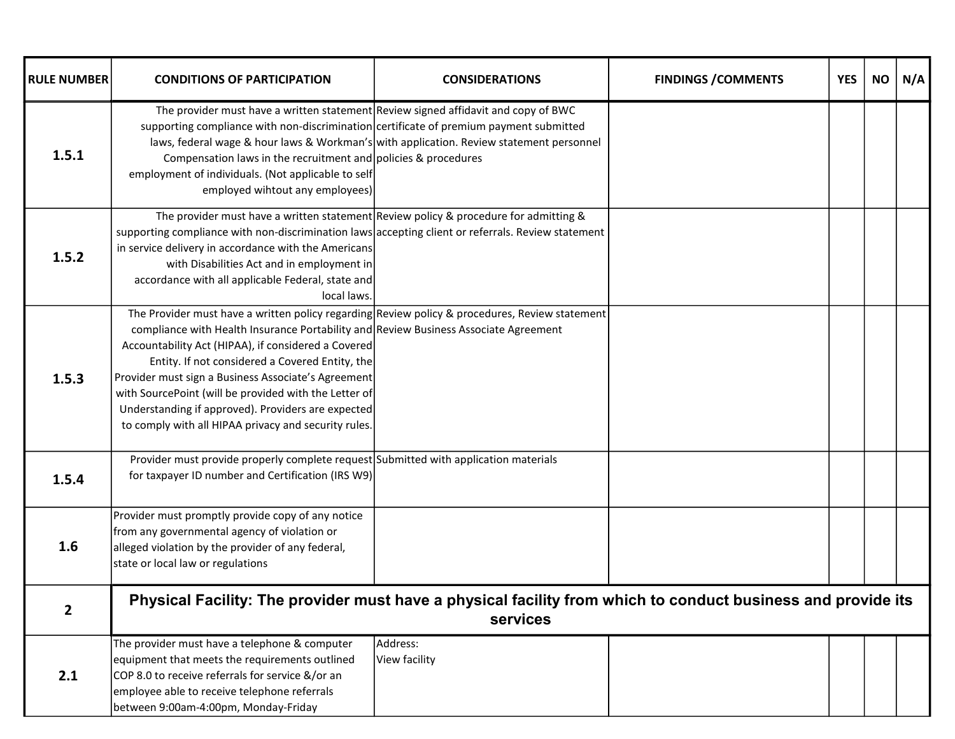| <b>RULE NUMBER</b> | <b>CONDITIONS OF PARTICIPATION</b>                                                                                                                                                                                                                                                                                                                                                                                                                                                                                             | <b>CONSIDERATIONS</b>                                                                   | <b>FINDINGS / COMMENTS</b> | <b>YES</b> | <b>NO</b> | N/A |
|--------------------|--------------------------------------------------------------------------------------------------------------------------------------------------------------------------------------------------------------------------------------------------------------------------------------------------------------------------------------------------------------------------------------------------------------------------------------------------------------------------------------------------------------------------------|-----------------------------------------------------------------------------------------|----------------------------|------------|-----------|-----|
| 1.5.1              | The provider must have a written statement Review signed affidavit and copy of BWC<br>supporting compliance with non-discrimination certificate of premium payment submitted<br>Compensation laws in the recruitment and policies & procedures<br>employment of individuals. (Not applicable to self<br>employed wihtout any employees)                                                                                                                                                                                        | laws, federal wage & hour laws & Workman's with application. Review statement personnel |                            |            |           |     |
| 1.5.2              | The provider must have a written statement Review policy & procedure for admitting &<br>supporting compliance with non-discrimination laws accepting client or referrals. Review statement<br>in service delivery in accordance with the Americans<br>with Disabilities Act and in employment in<br>accordance with all applicable Federal, state and<br>local laws.                                                                                                                                                           |                                                                                         |                            |            |           |     |
| 1.5.3              | The Provider must have a written policy regarding Review policy & procedures, Review statement<br>compliance with Health Insurance Portability and Review Business Associate Agreement<br>Accountability Act (HIPAA), if considered a Covered<br>Entity. If not considered a Covered Entity, the<br>Provider must sign a Business Associate's Agreement<br>with SourcePoint (will be provided with the Letter of<br>Understanding if approved). Providers are expected<br>to comply with all HIPAA privacy and security rules. |                                                                                         |                            |            |           |     |
| 1.5.4              | Provider must provide properly complete request Submitted with application materials<br>for taxpayer ID number and Certification (IRS W9)                                                                                                                                                                                                                                                                                                                                                                                      |                                                                                         |                            |            |           |     |
| 1.6                | Provider must promptly provide copy of any notice<br>from any governmental agency of violation or<br>alleged violation by the provider of any federal,<br>state or local law or regulations                                                                                                                                                                                                                                                                                                                                    |                                                                                         |                            |            |           |     |
| $\overline{2}$     | Physical Facility: The provider must have a physical facility from which to conduct business and provide its                                                                                                                                                                                                                                                                                                                                                                                                                   | services                                                                                |                            |            |           |     |
| 2.1                | The provider must have a telephone & computer<br>equipment that meets the requirements outlined<br>COP 8.0 to receive referrals for service &/or an<br>employee able to receive telephone referrals<br>between 9:00am-4:00pm, Monday-Friday                                                                                                                                                                                                                                                                                    | Address:<br>View facility                                                               |                            |            |           |     |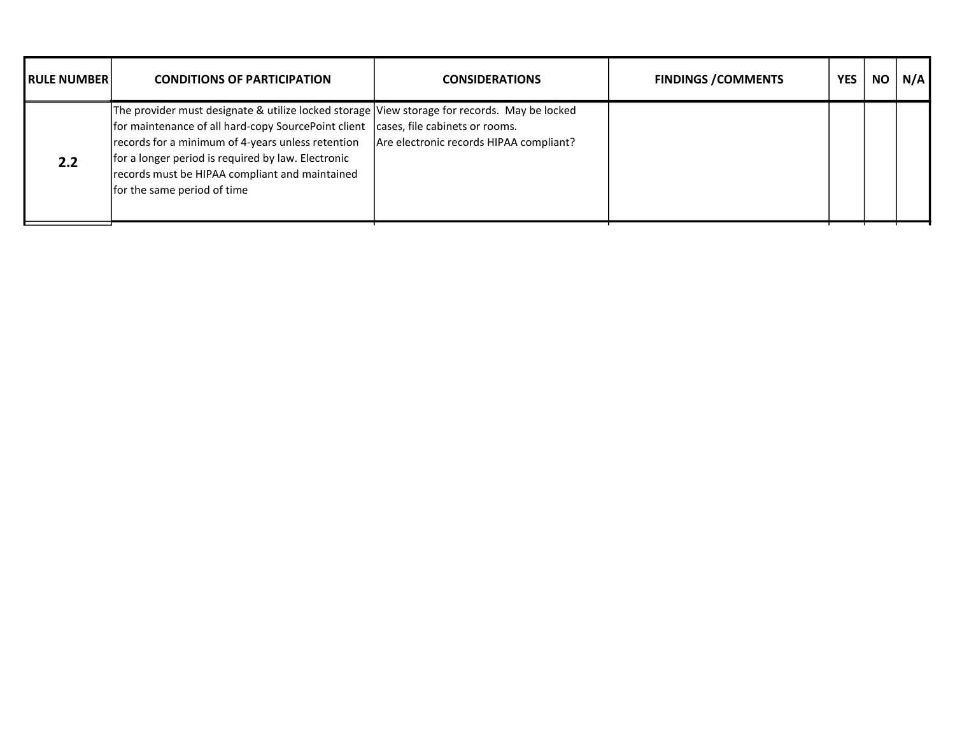| <b>IRULE NUMBERI</b> | <b>CONDITIONS OF PARTICIPATION</b>                                                                                                                                                                                                                                                                                                                                             | <b>CONSIDERATIONS</b>                   | <b>FINDINGS / COMMENTS</b> | <b>YES</b> | <b>NO</b> | N/A |
|----------------------|--------------------------------------------------------------------------------------------------------------------------------------------------------------------------------------------------------------------------------------------------------------------------------------------------------------------------------------------------------------------------------|-----------------------------------------|----------------------------|------------|-----------|-----|
| 2.2                  | The provider must designate & utilize locked storage View storage for records. May be locked<br>for maintenance of all hard-copy SourcePoint client cases, file cabinets or rooms.<br>records for a minimum of 4-years unless retention<br>for a longer period is required by law. Electronic<br>records must be HIPAA compliant and maintained<br>for the same period of time | Are electronic records HIPAA compliant? |                            |            |           |     |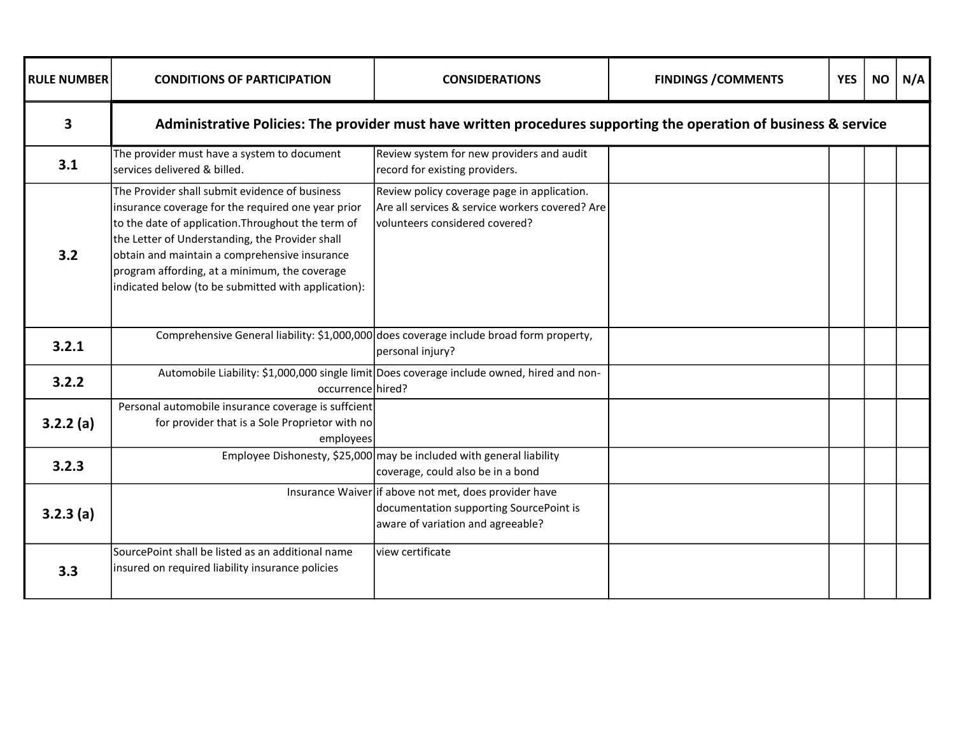| <b>RULE NUMBER</b> | <b>CONDITIONS OF PARTICIPATION</b>                                                                                                                                                                                                                                                                                                                                     | <b>CONSIDERATIONS</b>                                                                                                                 | <b>FINDINGS / COMMENTS</b> | <b>YES</b> | <b>NO</b> | N/A |
|--------------------|------------------------------------------------------------------------------------------------------------------------------------------------------------------------------------------------------------------------------------------------------------------------------------------------------------------------------------------------------------------------|---------------------------------------------------------------------------------------------------------------------------------------|----------------------------|------------|-----------|-----|
| 3                  |                                                                                                                                                                                                                                                                                                                                                                        | Administrative Policies: The provider must have written procedures supporting the operation of business & service                     |                            |            |           |     |
| 3.1                | The provider must have a system to document<br>services delivered & billed.                                                                                                                                                                                                                                                                                            | Review system for new providers and audit<br>record for existing providers.                                                           |                            |            |           |     |
| 3.2                | The Provider shall submit evidence of business<br>insurance coverage for the required one year prior<br>to the date of application. Throughout the term of<br>the Letter of Understanding, the Provider shall<br>obtain and maintain a comprehensive insurance<br>program affording, at a minimum, the coverage<br>indicated below (to be submitted with application): | Review policy coverage page in application.<br>Are all services & service workers covered? Are<br>volunteers considered covered?      |                            |            |           |     |
| 3.2.1              | Comprehensive General liability: \$1,000,000 does coverage include broad form property,                                                                                                                                                                                                                                                                                | personal injury?                                                                                                                      |                            |            |           |     |
| 3.2.2              | occurrence hired?                                                                                                                                                                                                                                                                                                                                                      | Automobile Liability: \$1,000,000 single limit Does coverage include owned, hired and non-                                            |                            |            |           |     |
| 3.2.2(a)           | Personal automobile insurance coverage is suffcient<br>for provider that is a Sole Proprietor with no<br>employees                                                                                                                                                                                                                                                     |                                                                                                                                       |                            |            |           |     |
| 3.2.3              |                                                                                                                                                                                                                                                                                                                                                                        | Employee Dishonesty, \$25,000 may be included with general liability<br>coverage, could also be in a bond                             |                            |            |           |     |
| 3.2.3(a)           |                                                                                                                                                                                                                                                                                                                                                                        | Insurance Waiver if above not met, does provider have<br>documentation supporting SourcePoint is<br>aware of variation and agreeable? |                            |            |           |     |
| 3.3                | SourcePoint shall be listed as an additional name<br>insured on required liability insurance policies                                                                                                                                                                                                                                                                  | lview certificate                                                                                                                     |                            |            |           |     |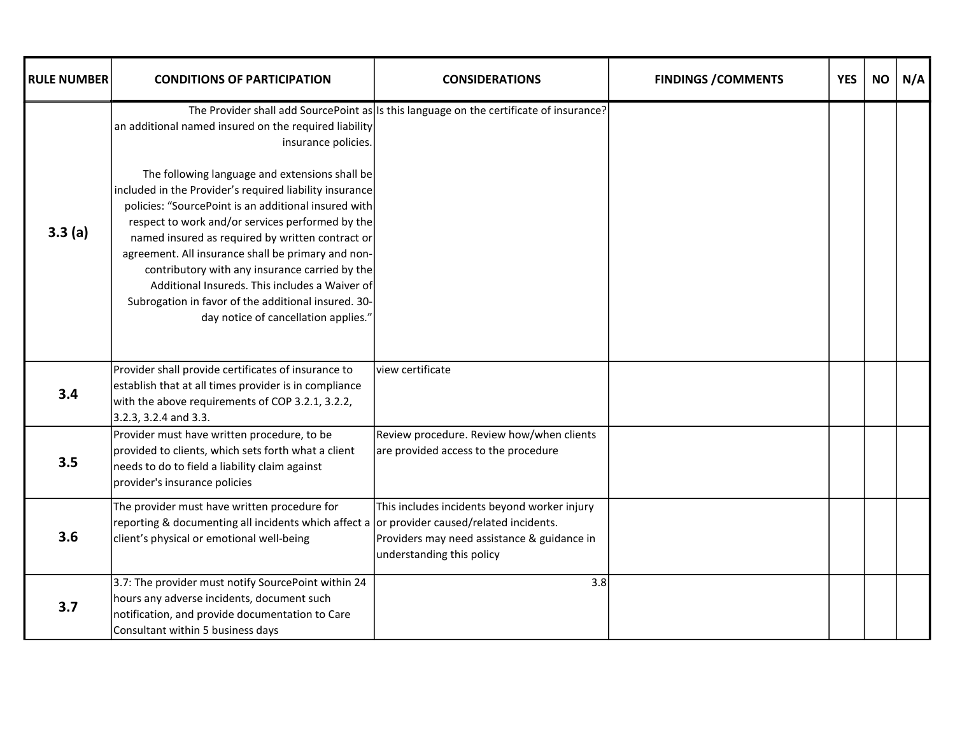| <b>RULE NUMBER</b> | <b>CONDITIONS OF PARTICIPATION</b>                                                                                                                                                                                                                                                                                                                                                                                                                                                                                                 | <b>CONSIDERATIONS</b>                                                                                                    | <b>FINDINGS / COMMENTS</b> | <b>YES</b> | <b>NO</b> | N/A |
|--------------------|------------------------------------------------------------------------------------------------------------------------------------------------------------------------------------------------------------------------------------------------------------------------------------------------------------------------------------------------------------------------------------------------------------------------------------------------------------------------------------------------------------------------------------|--------------------------------------------------------------------------------------------------------------------------|----------------------------|------------|-----------|-----|
|                    | an additional named insured on the required liability<br>insurance policies.                                                                                                                                                                                                                                                                                                                                                                                                                                                       | The Provider shall add SourcePoint as Is this language on the certificate of insurance?                                  |                            |            |           |     |
| 3.3(a)             | The following language and extensions shall be<br>included in the Provider's required liability insurance<br>policies: "SourcePoint is an additional insured with<br>respect to work and/or services performed by the<br>named insured as required by written contract or<br>agreement. All insurance shall be primary and non-<br>contributory with any insurance carried by the<br>Additional Insureds. This includes a Waiver of<br>Subrogation in favor of the additional insured. 30-<br>day notice of cancellation applies." |                                                                                                                          |                            |            |           |     |
| 3.4                | Provider shall provide certificates of insurance to<br>establish that at all times provider is in compliance<br>with the above requirements of COP 3.2.1, 3.2.2,<br>3.2.3, 3.2.4 and 3.3.                                                                                                                                                                                                                                                                                                                                          | view certificate                                                                                                         |                            |            |           |     |
| 3.5                | Provider must have written procedure, to be<br>provided to clients, which sets forth what a client<br>needs to do to field a liability claim against<br>provider's insurance policies                                                                                                                                                                                                                                                                                                                                              | Review procedure. Review how/when clients<br>are provided access to the procedure                                        |                            |            |           |     |
| 3.6                | The provider must have written procedure for<br>reporting & documenting all incidents which affect a or provider caused/related incidents.<br>client's physical or emotional well-being                                                                                                                                                                                                                                                                                                                                            | This includes incidents beyond worker injury<br>Providers may need assistance & guidance in<br>understanding this policy |                            |            |           |     |
| 3.7                | 3.7: The provider must notify SourcePoint within 24<br>hours any adverse incidents, document such<br>notification, and provide documentation to Care<br>Consultant within 5 business days                                                                                                                                                                                                                                                                                                                                          | 3.8                                                                                                                      |                            |            |           |     |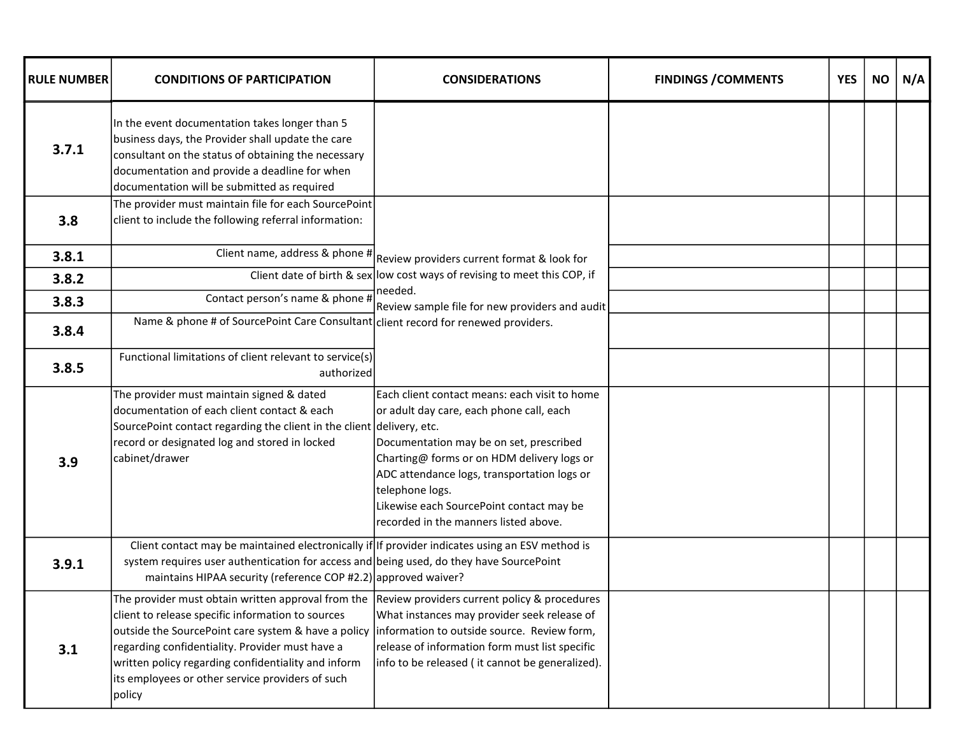| <b>RULE NUMBER</b> | <b>CONDITIONS OF PARTICIPATION</b>                                                                                                                                                                                                                                                                                                                                                                                                | <b>CONSIDERATIONS</b>                                                                                                                                                                                                                                                                                                                     | <b>FINDINGS / COMMENTS</b> | <b>YES</b> | <b>NO</b> | N/A |
|--------------------|-----------------------------------------------------------------------------------------------------------------------------------------------------------------------------------------------------------------------------------------------------------------------------------------------------------------------------------------------------------------------------------------------------------------------------------|-------------------------------------------------------------------------------------------------------------------------------------------------------------------------------------------------------------------------------------------------------------------------------------------------------------------------------------------|----------------------------|------------|-----------|-----|
| 3.7.1              | In the event documentation takes longer than 5<br>business days, the Provider shall update the care<br>consultant on the status of obtaining the necessary<br>documentation and provide a deadline for when<br>documentation will be submitted as required                                                                                                                                                                        |                                                                                                                                                                                                                                                                                                                                           |                            |            |           |     |
| 3.8                | The provider must maintain file for each SourcePoint<br>client to include the following referral information:                                                                                                                                                                                                                                                                                                                     |                                                                                                                                                                                                                                                                                                                                           |                            |            |           |     |
| 3.8.1              |                                                                                                                                                                                                                                                                                                                                                                                                                                   | Client name, address & phone $\#$ Review providers current format & look for                                                                                                                                                                                                                                                              |                            |            |           |     |
| 3.8.2              |                                                                                                                                                                                                                                                                                                                                                                                                                                   | Client date of birth & sex low cost ways of revising to meet this COP, if                                                                                                                                                                                                                                                                 |                            |            |           |     |
| 3.8.3              | Contact person's name & phone #                                                                                                                                                                                                                                                                                                                                                                                                   | needed.<br>Review sample file for new providers and audit                                                                                                                                                                                                                                                                                 |                            |            |           |     |
| 3.8.4              | Name & phone # of SourcePoint Care Consultant client record for renewed providers.                                                                                                                                                                                                                                                                                                                                                |                                                                                                                                                                                                                                                                                                                                           |                            |            |           |     |
| 3.8.5              | Functional limitations of client relevant to service(s)<br>authorized                                                                                                                                                                                                                                                                                                                                                             |                                                                                                                                                                                                                                                                                                                                           |                            |            |           |     |
| 3.9                | The provider must maintain signed & dated<br>documentation of each client contact & each<br>SourcePoint contact regarding the client in the client delivery, etc.<br>record or designated log and stored in locked<br>cabinet/drawer                                                                                                                                                                                              | Each client contact means: each visit to home<br>or adult day care, each phone call, each<br>Documentation may be on set, prescribed<br>Charting@ forms or on HDM delivery logs or<br>ADC attendance logs, transportation logs or<br>telephone logs.<br>Likewise each SourcePoint contact may be<br>recorded in the manners listed above. |                            |            |           |     |
| 3.9.1              | Client contact may be maintained electronically if If provider indicates using an ESV method is<br>system requires user authentication for access and being used, do they have SourcePoint<br>maintains HIPAA security (reference COP #2.2) approved waiver?                                                                                                                                                                      |                                                                                                                                                                                                                                                                                                                                           |                            |            |           |     |
| 3.1                | The provider must obtain written approval from the Review providers current policy & procedures<br>client to release specific information to sources<br>outside the SourcePoint care system & have a policy  information to outside source. Review form,<br>regarding confidentiality. Provider must have a<br>written policy regarding confidentiality and inform<br>its employees or other service providers of such<br> policy | What instances may provider seek release of<br>release of information form must list specific<br>info to be released (it cannot be generalized).                                                                                                                                                                                          |                            |            |           |     |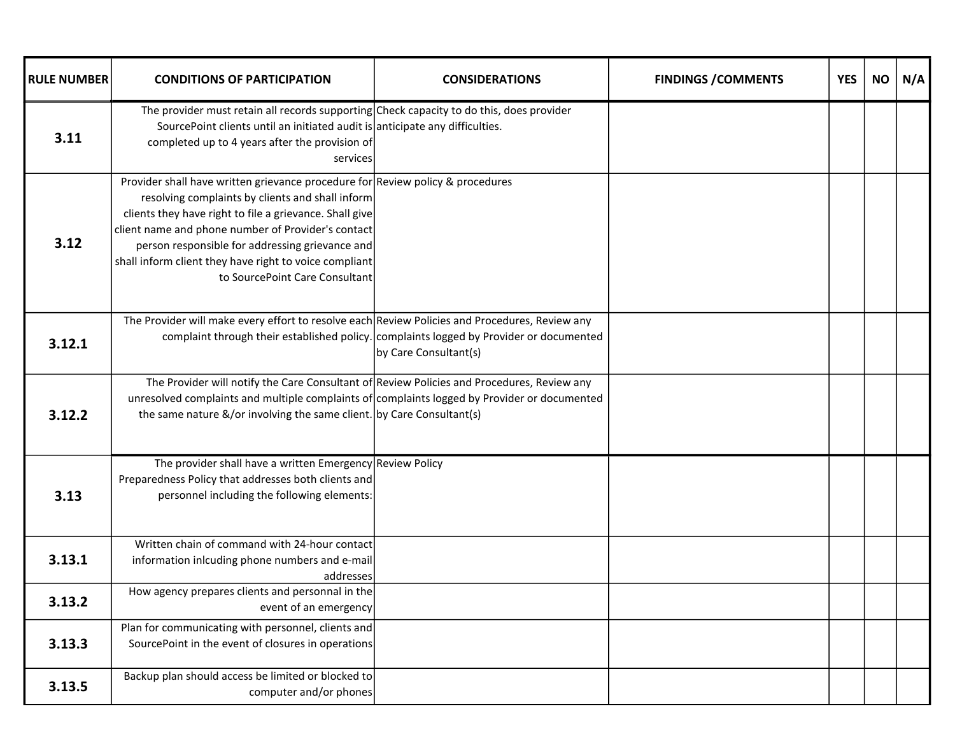| <b>RULE NUMBER</b> | <b>CONDITIONS OF PARTICIPATION</b>                                                                                                                                                                                                                                                                                                                                                                 | <b>CONSIDERATIONS</b>                                                                                            | <b>FINDINGS / COMMENTS</b> | <b>YES</b> | <b>NO</b> | N/A |
|--------------------|----------------------------------------------------------------------------------------------------------------------------------------------------------------------------------------------------------------------------------------------------------------------------------------------------------------------------------------------------------------------------------------------------|------------------------------------------------------------------------------------------------------------------|----------------------------|------------|-----------|-----|
| 3.11               | The provider must retain all records supporting Check capacity to do this, does provider<br>SourcePoint clients until an initiated audit is anticipate any difficulties.<br>completed up to 4 years after the provision of<br>services                                                                                                                                                             |                                                                                                                  |                            |            |           |     |
| 3.12               | Provider shall have written grievance procedure for Review policy & procedures<br>resolving complaints by clients and shall inform<br>clients they have right to file a grievance. Shall give<br>client name and phone number of Provider's contact<br>person responsible for addressing grievance and<br>shall inform client they have right to voice compliant<br>to SourcePoint Care Consultant |                                                                                                                  |                            |            |           |     |
| 3.12.1             | The Provider will make every effort to resolve each Review Policies and Procedures, Review any                                                                                                                                                                                                                                                                                                     | complaint through their established policy. complaints logged by Provider or documented<br>by Care Consultant(s) |                            |            |           |     |
| 3.12.2             | The Provider will notify the Care Consultant of Review Policies and Procedures, Review any<br>unresolved complaints and multiple complaints of complaints logged by Provider or documented<br>the same nature &/or involving the same client. by Care Consultant(s)                                                                                                                                |                                                                                                                  |                            |            |           |     |
| 3.13               | The provider shall have a written Emergency Review Policy<br>Preparedness Policy that addresses both clients and<br>personnel including the following elements:                                                                                                                                                                                                                                    |                                                                                                                  |                            |            |           |     |
| 3.13.1             | Written chain of command with 24-hour contact<br>information inlcuding phone numbers and e-mail<br>addresses                                                                                                                                                                                                                                                                                       |                                                                                                                  |                            |            |           |     |
| 3.13.2             | How agency prepares clients and personnal in the<br>event of an emergency                                                                                                                                                                                                                                                                                                                          |                                                                                                                  |                            |            |           |     |
| 3.13.3             | Plan for communicating with personnel, clients and<br>SourcePoint in the event of closures in operations                                                                                                                                                                                                                                                                                           |                                                                                                                  |                            |            |           |     |
| 3.13.5             | Backup plan should access be limited or blocked to<br>computer and/or phones                                                                                                                                                                                                                                                                                                                       |                                                                                                                  |                            |            |           |     |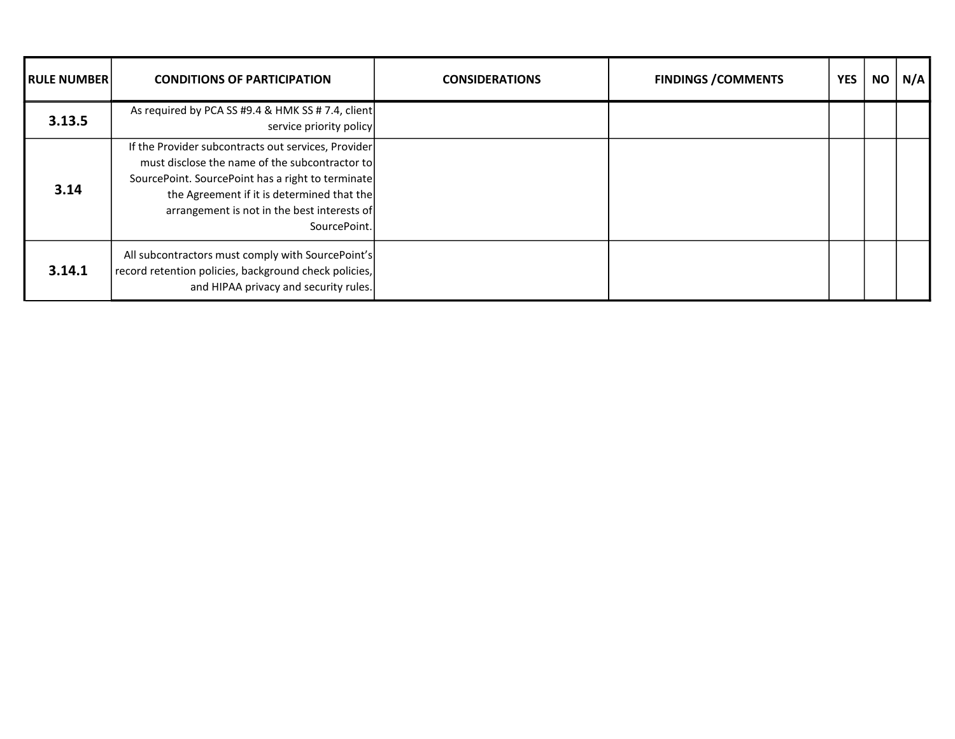| <b>IRULE NUMBER</b> | <b>CONDITIONS OF PARTICIPATION</b>                                                                                                                                                                                                                                      | <b>CONSIDERATIONS</b> | <b>FINDINGS / COMMENTS</b> | <b>YES</b> | <b>NO</b> | N/A |
|---------------------|-------------------------------------------------------------------------------------------------------------------------------------------------------------------------------------------------------------------------------------------------------------------------|-----------------------|----------------------------|------------|-----------|-----|
| 3.13.5              | As required by PCA SS #9.4 & HMK SS # 7.4, client<br>service priority policy                                                                                                                                                                                            |                       |                            |            |           |     |
| 3.14                | If the Provider subcontracts out services, Provider<br>must disclose the name of the subcontractor to<br>SourcePoint. SourcePoint has a right to terminate<br>the Agreement if it is determined that the<br>arrangement is not in the best interests of<br>SourcePoint. |                       |                            |            |           |     |
| 3.14.1              | All subcontractors must comply with SourcePoint's<br>record retention policies, background check policies,<br>and HIPAA privacy and security rules.                                                                                                                     |                       |                            |            |           |     |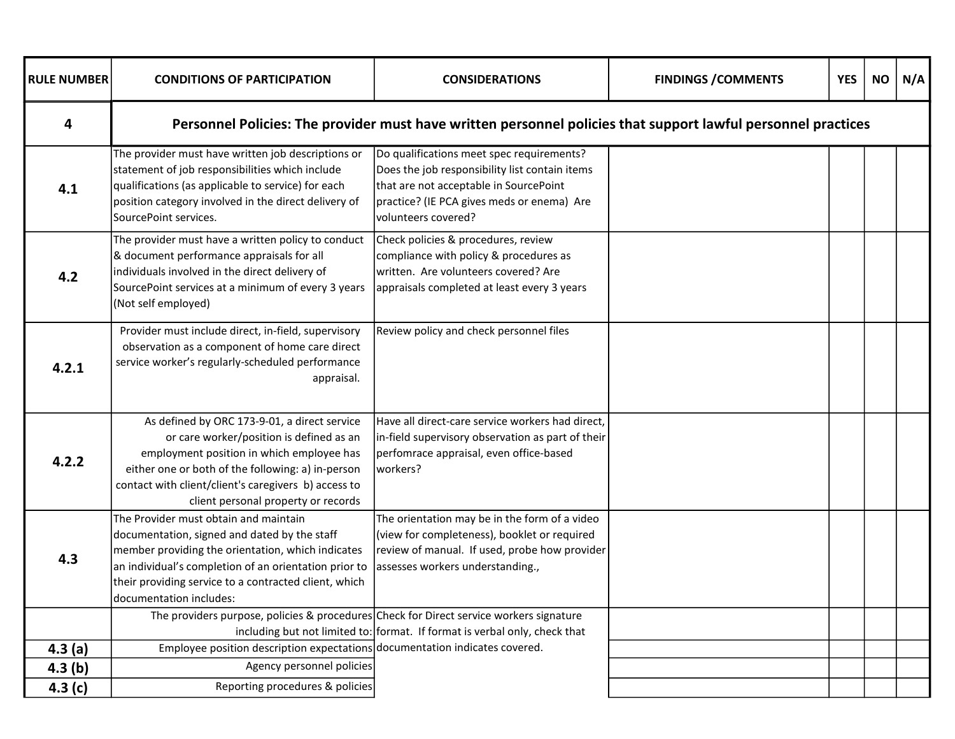| <b>RULE NUMBER</b> | <b>CONDITIONS OF PARTICIPATION</b>                                                                                                                                                                                                                                                        | <b>CONSIDERATIONS</b>                                                                                                                                                                                      | <b>FINDINGS / COMMENTS</b> | <b>YES</b> | <b>NO</b> | N/A |
|--------------------|-------------------------------------------------------------------------------------------------------------------------------------------------------------------------------------------------------------------------------------------------------------------------------------------|------------------------------------------------------------------------------------------------------------------------------------------------------------------------------------------------------------|----------------------------|------------|-----------|-----|
| 4                  |                                                                                                                                                                                                                                                                                           | Personnel Policies: The provider must have written personnel policies that support lawful personnel practices                                                                                              |                            |            |           |     |
| 4.1                | The provider must have written job descriptions or<br>statement of job responsibilities which include<br>qualifications (as applicable to service) for each<br>position category involved in the direct delivery of<br>SourcePoint services.                                              | Do qualifications meet spec requirements?<br>Does the job responsibility list contain items<br>that are not acceptable in SourcePoint<br>practice? (IE PCA gives meds or enema) Are<br>volunteers covered? |                            |            |           |     |
| 4.2                | The provider must have a written policy to conduct<br>& document performance appraisals for all<br>individuals involved in the direct delivery of<br>SourcePoint services at a minimum of every 3 years<br>(Not self employed)                                                            | Check policies & procedures, review<br>compliance with policy & procedures as<br>written. Are volunteers covered? Are<br>appraisals completed at least every 3 years                                       |                            |            |           |     |
| 4.2.1              | Provider must include direct, in-field, supervisory<br>observation as a component of home care direct<br>service worker's regularly-scheduled performance<br>appraisal.                                                                                                                   | Review policy and check personnel files                                                                                                                                                                    |                            |            |           |     |
| 4.2.2              | As defined by ORC 173-9-01, a direct service<br>or care worker/position is defined as an<br>employment position in which employee has<br>either one or both of the following: a) in-person<br>contact with client/client's caregivers b) access to<br>client personal property or records | Have all direct-care service workers had direct,<br>in-field supervisory observation as part of their<br>perfomrace appraisal, even office-based<br>workers?                                               |                            |            |           |     |
| 4.3                | The Provider must obtain and maintain<br>documentation, signed and dated by the staff<br>member providing the orientation, which indicates<br>an individual's completion of an orientation prior to<br>their providing service to a contracted client, which<br>documentation includes:   | The orientation may be in the form of a video<br>(view for completeness), booklet or required<br>review of manual. If used, probe how provider<br>assesses workers understanding.,                         |                            |            |           |     |
|                    | The providers purpose, policies & procedures Check for Direct service workers signature                                                                                                                                                                                                   | including but not limited to: format. If format is verbal only, check that                                                                                                                                 |                            |            |           |     |
| 4.3(a)             | Employee position description expectations documentation indicates covered.                                                                                                                                                                                                               |                                                                                                                                                                                                            |                            |            |           |     |
| 4.3(b)             | Agency personnel policies                                                                                                                                                                                                                                                                 |                                                                                                                                                                                                            |                            |            |           |     |
| 4.3(c)             | Reporting procedures & policies                                                                                                                                                                                                                                                           |                                                                                                                                                                                                            |                            |            |           |     |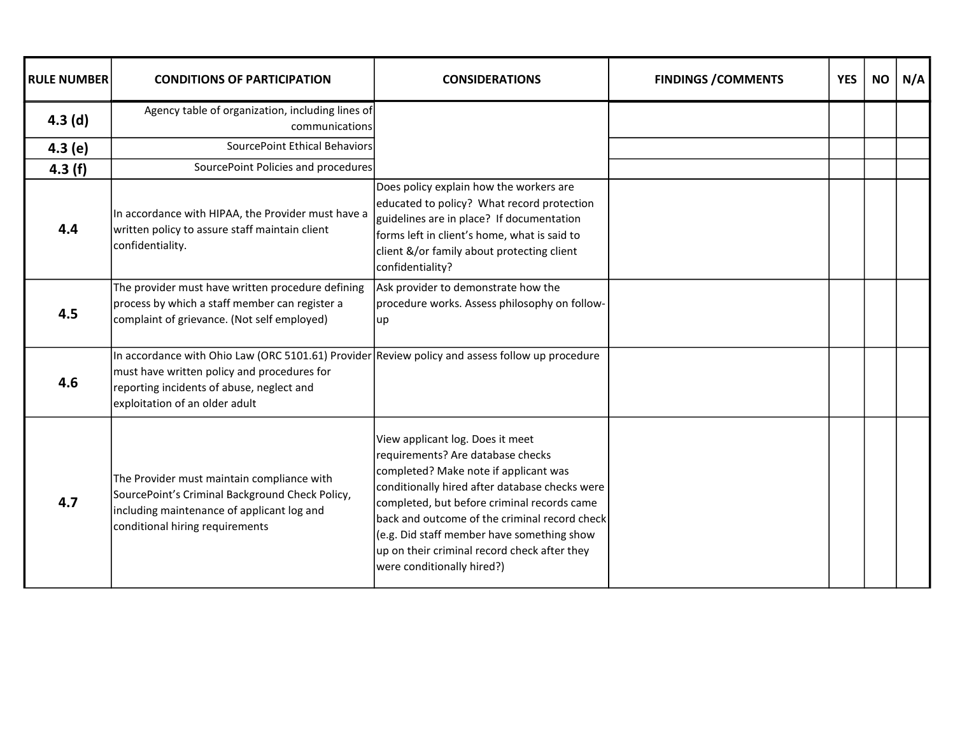| <b>RULE NUMBER</b> | <b>CONDITIONS OF PARTICIPATION</b>                                                                                                                                                                                            | <b>CONSIDERATIONS</b>                                                                                                                                                                                                                                                                                                                                                                        | <b>FINDINGS / COMMENTS</b> | <b>YES</b> | <b>NO</b> | N/A |
|--------------------|-------------------------------------------------------------------------------------------------------------------------------------------------------------------------------------------------------------------------------|----------------------------------------------------------------------------------------------------------------------------------------------------------------------------------------------------------------------------------------------------------------------------------------------------------------------------------------------------------------------------------------------|----------------------------|------------|-----------|-----|
| 4.3(d)             | Agency table of organization, including lines of<br>communications                                                                                                                                                            |                                                                                                                                                                                                                                                                                                                                                                                              |                            |            |           |     |
| 4.3(e)             | SourcePoint Ethical Behaviors                                                                                                                                                                                                 |                                                                                                                                                                                                                                                                                                                                                                                              |                            |            |           |     |
| 4.3(f)             | SourcePoint Policies and procedures                                                                                                                                                                                           |                                                                                                                                                                                                                                                                                                                                                                                              |                            |            |           |     |
| 4.4                | In accordance with HIPAA, the Provider must have a<br>written policy to assure staff maintain client<br>confidentiality.                                                                                                      | Does policy explain how the workers are<br>educated to policy? What record protection<br>guidelines are in place? If documentation<br>forms left in client's home, what is said to<br>client &/or family about protecting client<br>confidentiality?                                                                                                                                         |                            |            |           |     |
| 4.5                | The provider must have written procedure defining<br>process by which a staff member can register a<br>complaint of grievance. (Not self employed)                                                                            | Ask provider to demonstrate how the<br>procedure works. Assess philosophy on follow-<br>up                                                                                                                                                                                                                                                                                                   |                            |            |           |     |
| 4.6                | In accordance with Ohio Law (ORC 5101.61) Provider Review policy and assess follow up procedure<br>must have written policy and procedures for<br>reporting incidents of abuse, neglect and<br>exploitation of an older adult |                                                                                                                                                                                                                                                                                                                                                                                              |                            |            |           |     |
| 4.7                | The Provider must maintain compliance with<br>SourcePoint's Criminal Background Check Policy,<br>including maintenance of applicant log and<br>conditional hiring requirements                                                | View applicant log. Does it meet<br>requirements? Are database checks<br>completed? Make note if applicant was<br>conditionally hired after database checks were<br>completed, but before criminal records came<br>back and outcome of the criminal record check<br>(e.g. Did staff member have something show<br>up on their criminal record check after they<br>were conditionally hired?) |                            |            |           |     |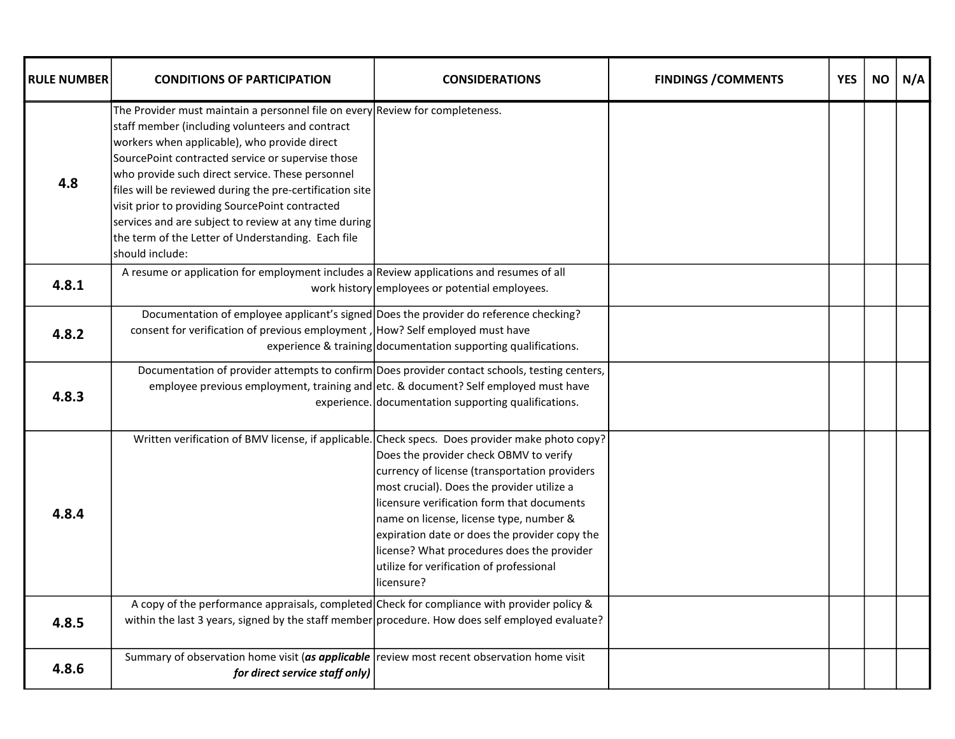| <b>RULE NUMBER</b> | <b>CONDITIONS OF PARTICIPATION</b>                                                                                                                                                                                                                                                                                                                                                                                                                                                                                                         | <b>CONSIDERATIONS</b>                                                                                                                                                                                                                                                                                                                                                                    | <b>FINDINGS / COMMENTS</b> | <b>YES</b> | <b>NO</b> | N/A |
|--------------------|--------------------------------------------------------------------------------------------------------------------------------------------------------------------------------------------------------------------------------------------------------------------------------------------------------------------------------------------------------------------------------------------------------------------------------------------------------------------------------------------------------------------------------------------|------------------------------------------------------------------------------------------------------------------------------------------------------------------------------------------------------------------------------------------------------------------------------------------------------------------------------------------------------------------------------------------|----------------------------|------------|-----------|-----|
| 4.8                | The Provider must maintain a personnel file on every Review for completeness.<br>staff member (including volunteers and contract<br>workers when applicable), who provide direct<br>SourcePoint contracted service or supervise those<br>who provide such direct service. These personnel<br>files will be reviewed during the pre-certification site<br>visit prior to providing SourcePoint contracted<br>services and are subject to review at any time during<br>the term of the Letter of Understanding. Each file<br>should include: |                                                                                                                                                                                                                                                                                                                                                                                          |                            |            |           |     |
| 4.8.1              | A resume or application for employment includes a Review applications and resumes of all                                                                                                                                                                                                                                                                                                                                                                                                                                                   | work history employees or potential employees.                                                                                                                                                                                                                                                                                                                                           |                            |            |           |     |
| 4.8.2              | Documentation of employee applicant's signed Does the provider do reference checking?<br>consent for verification of previous employment, How? Self employed must have                                                                                                                                                                                                                                                                                                                                                                     | experience & training documentation supporting qualifications.                                                                                                                                                                                                                                                                                                                           |                            |            |           |     |
| 4.8.3              | Documentation of provider attempts to confirm Does provider contact schools, testing centers,<br>employee previous employment, training and etc. & document? Self employed must have                                                                                                                                                                                                                                                                                                                                                       | experience. documentation supporting qualifications.                                                                                                                                                                                                                                                                                                                                     |                            |            |           |     |
| 4.8.4              | Written verification of BMV license, if applicable. Check specs. Does provider make photo copy?                                                                                                                                                                                                                                                                                                                                                                                                                                            | Does the provider check OBMV to verify<br>currency of license (transportation providers<br>most crucial). Does the provider utilize a<br>licensure verification form that documents<br>name on license, license type, number &<br>expiration date or does the provider copy the<br>license? What procedures does the provider<br>utilize for verification of professional<br>llicensure? |                            |            |           |     |
| 4.8.5              | A copy of the performance appraisals, completed Check for compliance with provider policy &<br>within the last 3 years, signed by the staff member procedure. How does self employed evaluate?                                                                                                                                                                                                                                                                                                                                             |                                                                                                                                                                                                                                                                                                                                                                                          |                            |            |           |     |
| 4.8.6              | Summary of observation home visit (as applicable review most recent observation home visit<br>for direct service staff only)                                                                                                                                                                                                                                                                                                                                                                                                               |                                                                                                                                                                                                                                                                                                                                                                                          |                            |            |           |     |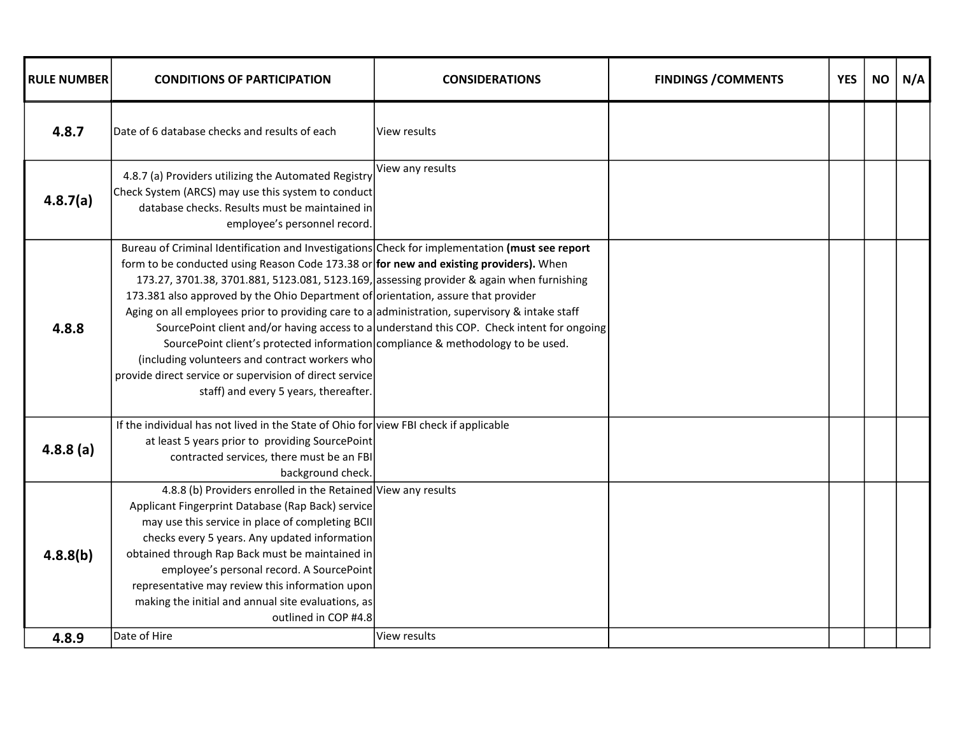| <b>RULE NUMBER</b> | <b>CONDITIONS OF PARTICIPATION</b>                                                                                                                                                                                                                                                                                                                                                                                                                                                                                                                                                                                                                                                                                    | <b>CONSIDERATIONS</b>                                                                      | <b>FINDINGS / COMMENTS</b> | <b>YES</b> | <b>NO</b> | N/A |
|--------------------|-----------------------------------------------------------------------------------------------------------------------------------------------------------------------------------------------------------------------------------------------------------------------------------------------------------------------------------------------------------------------------------------------------------------------------------------------------------------------------------------------------------------------------------------------------------------------------------------------------------------------------------------------------------------------------------------------------------------------|--------------------------------------------------------------------------------------------|----------------------------|------------|-----------|-----|
| 4.8.7              | Date of 6 database checks and results of each                                                                                                                                                                                                                                                                                                                                                                                                                                                                                                                                                                                                                                                                         | lView results                                                                              |                            |            |           |     |
| 4.8.7(a)           | 4.8.7 (a) Providers utilizing the Automated Registry<br>Check System (ARCS) may use this system to conduct<br>database checks. Results must be maintained in<br>employee's personnel record.                                                                                                                                                                                                                                                                                                                                                                                                                                                                                                                          | View any results                                                                           |                            |            |           |     |
| 4.8.8              | Bureau of Criminal Identification and Investigations Check for implementation (must see report<br>form to be conducted using Reason Code 173.38 or for new and existing providers). When<br>173.27, 3701.38, 3701.881, 5123.081, 5123.169, assessing provider & again when furnishing<br>173.381 also approved by the Ohio Department of orientation, assure that provider<br>Aging on all employees prior to providing care to a administration, supervisory & intake staff<br>SourcePoint client's protected information compliance & methodology to be used.<br>(including volunteers and contract workers who<br>provide direct service or supervision of direct service<br>staff) and every 5 years, thereafter. | SourcePoint client and/or having access to a understand this COP. Check intent for ongoing |                            |            |           |     |
| 4.8.8(a)           | If the individual has not lived in the State of Ohio for view FBI check if applicable<br>at least 5 years prior to providing SourcePoint<br>contracted services, there must be an FBI<br>background check.                                                                                                                                                                                                                                                                                                                                                                                                                                                                                                            |                                                                                            |                            |            |           |     |
| 4.8.8(b)<br>4.8.9  | 4.8.8 (b) Providers enrolled in the Retained View any results<br>Applicant Fingerprint Database (Rap Back) service<br>may use this service in place of completing BCII<br>checks every 5 years. Any updated information<br>obtained through Rap Back must be maintained in<br>employee's personal record. A SourcePoint<br>representative may review this information upon<br>making the initial and annual site evaluations, as<br>outlined in COP #4.8<br>Date of Hire                                                                                                                                                                                                                                              | View results                                                                               |                            |            |           |     |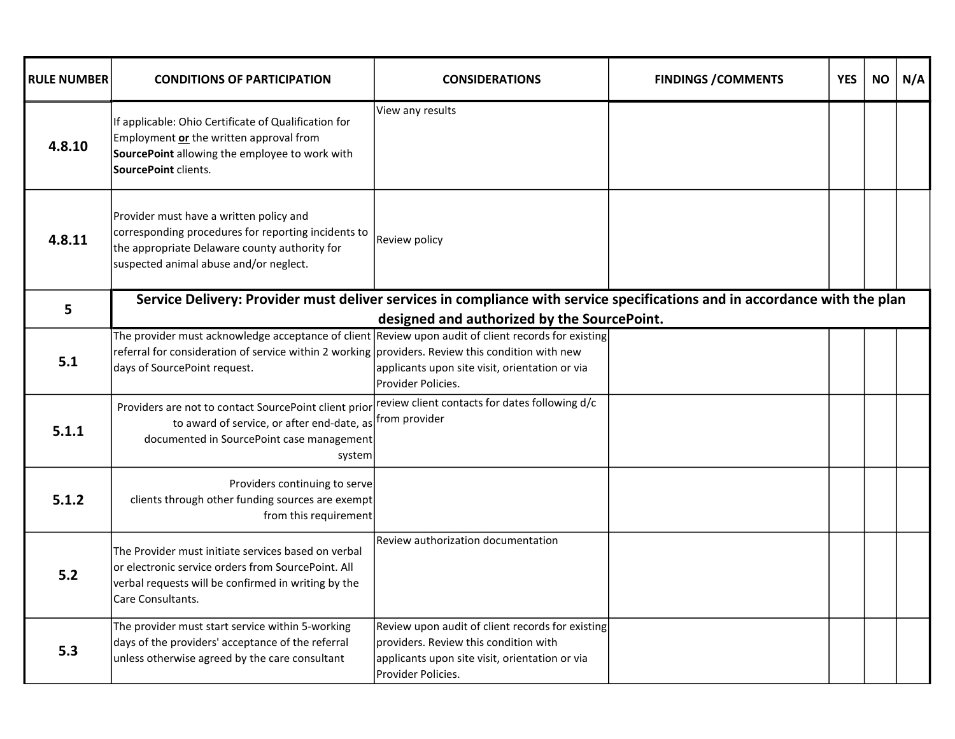| <b>RULE NUMBER</b> | <b>CONDITIONS OF PARTICIPATION</b>                                                                                                                                                                                                      | <b>CONSIDERATIONS</b>                                                                                                                                              | <b>FINDINGS / COMMENTS</b> | <b>YES</b> | <b>NO</b> | N/A |
|--------------------|-----------------------------------------------------------------------------------------------------------------------------------------------------------------------------------------------------------------------------------------|--------------------------------------------------------------------------------------------------------------------------------------------------------------------|----------------------------|------------|-----------|-----|
| 4.8.10             | If applicable: Ohio Certificate of Qualification for<br>Employment or the written approval from<br>SourcePoint allowing the employee to work with<br>SourcePoint clients.                                                               | View any results                                                                                                                                                   |                            |            |           |     |
| 4.8.11             | Provider must have a written policy and<br>corresponding procedures for reporting incidents to<br>the appropriate Delaware county authority for<br>suspected animal abuse and/or neglect.                                               | Review policy                                                                                                                                                      |                            |            |           |     |
| 5                  | Service Delivery: Provider must deliver services in compliance with service specifications and in accordance with the plan                                                                                                              | designed and authorized by the SourcePoint.                                                                                                                        |                            |            |           |     |
| 5.1                | The provider must acknowledge acceptance of client Review upon audit of client records for existing<br>referral for consideration of service within 2 working providers. Review this condition with new<br>days of SourcePoint request. | applicants upon site visit, orientation or via<br>Provider Policies.                                                                                               |                            |            |           |     |
| 5.1.1              | Providers are not to contact SourcePoint client prior review client contacts for dates following d/c<br>to award of service, or after end-date, as from provider<br>documented in SourcePoint case management<br>system                 |                                                                                                                                                                    |                            |            |           |     |
| 5.1.2              | Providers continuing to serve<br>clients through other funding sources are exempt<br>from this requirement                                                                                                                              |                                                                                                                                                                    |                            |            |           |     |
| 5.2                | The Provider must initiate services based on verbal<br>or electronic service orders from SourcePoint. All<br>verbal requests will be confirmed in writing by the<br>Care Consultants.                                                   | Review authorization documentation                                                                                                                                 |                            |            |           |     |
| 5.3                | The provider must start service within 5-working<br>days of the providers' acceptance of the referral<br>unless otherwise agreed by the care consultant                                                                                 | Review upon audit of client records for existing<br>providers. Review this condition with<br>applicants upon site visit, orientation or via<br>IProvider Policies. |                            |            |           |     |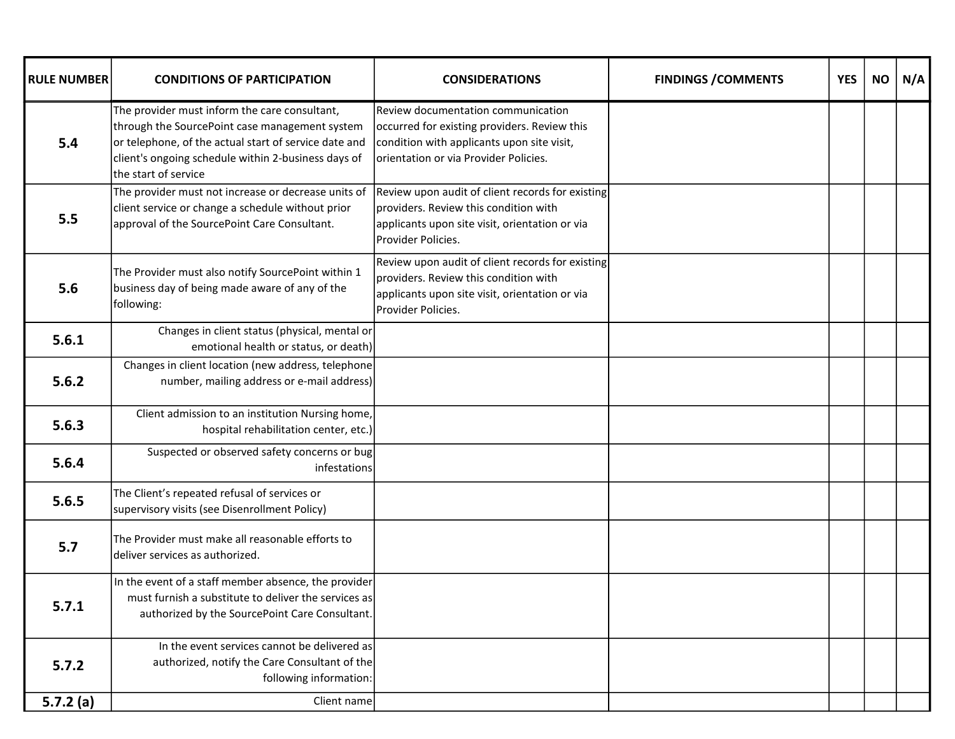| <b>RULE NUMBER</b> | <b>CONDITIONS OF PARTICIPATION</b>                                                                                                                                                                                                      | <b>CONSIDERATIONS</b>                                                                                                                                                     | <b>FINDINGS / COMMENTS</b> | <b>YES</b> | <b>NO</b> | N/A |
|--------------------|-----------------------------------------------------------------------------------------------------------------------------------------------------------------------------------------------------------------------------------------|---------------------------------------------------------------------------------------------------------------------------------------------------------------------------|----------------------------|------------|-----------|-----|
| 5.4                | The provider must inform the care consultant,<br>through the SourcePoint case management system<br>or telephone, of the actual start of service date and<br>client's ongoing schedule within 2-business days of<br>the start of service | Review documentation communication<br>occurred for existing providers. Review this<br>condition with applicants upon site visit,<br>orientation or via Provider Policies. |                            |            |           |     |
| 5.5                | The provider must not increase or decrease units of<br>client service or change a schedule without prior<br>approval of the SourcePoint Care Consultant.                                                                                | Review upon audit of client records for existing<br>providers. Review this condition with<br>applicants upon site visit, orientation or via<br>Provider Policies.         |                            |            |           |     |
| 5.6                | The Provider must also notify SourcePoint within 1<br>business day of being made aware of any of the<br>following:                                                                                                                      | Review upon audit of client records for existing<br>providers. Review this condition with<br>applicants upon site visit, orientation or via<br>Provider Policies.         |                            |            |           |     |
| 5.6.1              | Changes in client status (physical, mental or<br>emotional health or status, or death)                                                                                                                                                  |                                                                                                                                                                           |                            |            |           |     |
| 5.6.2              | Changes in client location (new address, telephone<br>number, mailing address or e-mail address)                                                                                                                                        |                                                                                                                                                                           |                            |            |           |     |
| 5.6.3              | Client admission to an institution Nursing home,<br>hospital rehabilitation center, etc.)                                                                                                                                               |                                                                                                                                                                           |                            |            |           |     |
| 5.6.4              | Suspected or observed safety concerns or bug<br>infestations                                                                                                                                                                            |                                                                                                                                                                           |                            |            |           |     |
| 5.6.5              | The Client's repeated refusal of services or<br>supervisory visits (see Disenrollment Policy)                                                                                                                                           |                                                                                                                                                                           |                            |            |           |     |
| 5.7                | The Provider must make all reasonable efforts to<br>deliver services as authorized.                                                                                                                                                     |                                                                                                                                                                           |                            |            |           |     |
| 5.7.1              | In the event of a staff member absence, the provider<br>must furnish a substitute to deliver the services as<br>authorized by the SourcePoint Care Consultant.                                                                          |                                                                                                                                                                           |                            |            |           |     |
| 5.7.2              | In the event services cannot be delivered as<br>authorized, notify the Care Consultant of the<br>following information:                                                                                                                 |                                                                                                                                                                           |                            |            |           |     |
| 5.7.2(a)           | Client name                                                                                                                                                                                                                             |                                                                                                                                                                           |                            |            |           |     |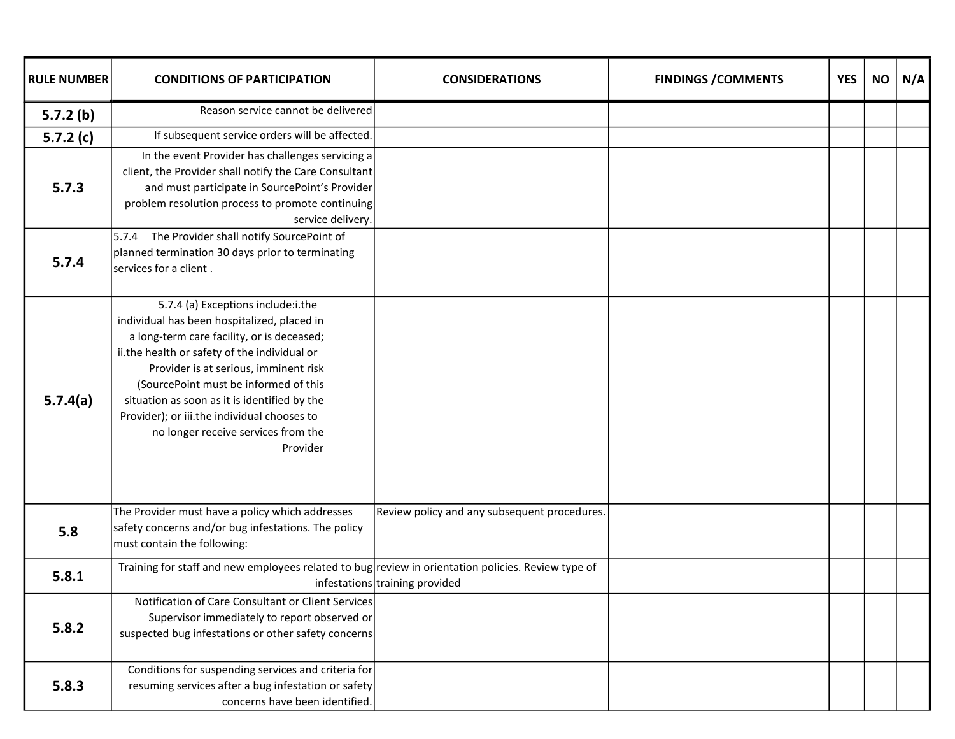| <b>RULE NUMBER</b> | <b>CONDITIONS OF PARTICIPATION</b>                                                                                                                                                                                                                                                                                                                                                                                  | <b>CONSIDERATIONS</b>                        | <b>FINDINGS / COMMENTS</b> | <b>YES</b> | <b>NO</b> | N/A |
|--------------------|---------------------------------------------------------------------------------------------------------------------------------------------------------------------------------------------------------------------------------------------------------------------------------------------------------------------------------------------------------------------------------------------------------------------|----------------------------------------------|----------------------------|------------|-----------|-----|
| 5.7.2(b)           | Reason service cannot be delivered                                                                                                                                                                                                                                                                                                                                                                                  |                                              |                            |            |           |     |
| 5.7.2 $(c)$        | If subsequent service orders will be affected.                                                                                                                                                                                                                                                                                                                                                                      |                                              |                            |            |           |     |
| 5.7.3              | In the event Provider has challenges servicing a<br>client, the Provider shall notify the Care Consultant<br>and must participate in SourcePoint's Provider<br>problem resolution process to promote continuing<br>service delivery.                                                                                                                                                                                |                                              |                            |            |           |     |
| 5.7.4              | 5.7.4 The Provider shall notify SourcePoint of<br>planned termination 30 days prior to terminating<br>services for a client.                                                                                                                                                                                                                                                                                        |                                              |                            |            |           |     |
| 5.7.4(a)           | 5.7.4 (a) Exceptions include:i.the<br>individual has been hospitalized, placed in<br>a long-term care facility, or is deceased;<br>ii.the health or safety of the individual or<br>Provider is at serious, imminent risk<br>(SourcePoint must be informed of this<br>situation as soon as it is identified by the<br>Provider); or iii.the individual chooses to<br>no longer receive services from the<br>Provider |                                              |                            |            |           |     |
| 5.8                | The Provider must have a policy which addresses<br>safety concerns and/or bug infestations. The policy<br>must contain the following:                                                                                                                                                                                                                                                                               | Review policy and any subsequent procedures. |                            |            |           |     |
| 5.8.1              | Training for staff and new employees related to bug review in orientation policies. Review type of                                                                                                                                                                                                                                                                                                                  | infestations training provided               |                            |            |           |     |
| 5.8.2              | Notification of Care Consultant or Client Services<br>Supervisor immediately to report observed or<br>suspected bug infestations or other safety concerns                                                                                                                                                                                                                                                           |                                              |                            |            |           |     |
| 5.8.3              | Conditions for suspending services and criteria for<br>resuming services after a bug infestation or safety<br>concerns have been identified.                                                                                                                                                                                                                                                                        |                                              |                            |            |           |     |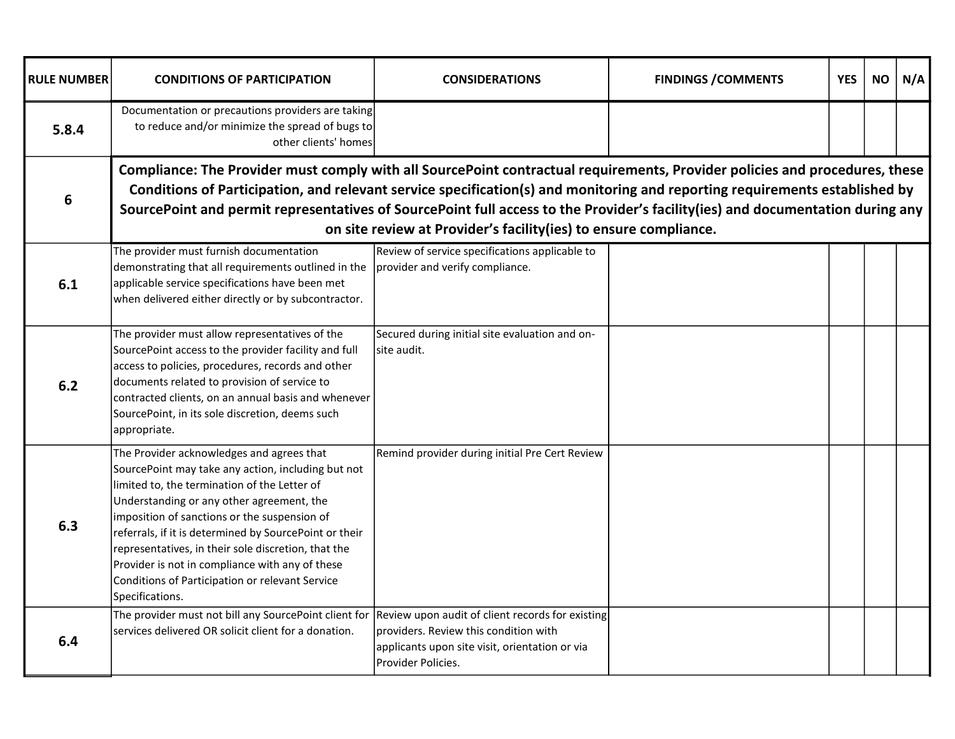| <b>RULE NUMBER</b> | <b>CONDITIONS OF PARTICIPATION</b>                                                                                                                                                                                                                                                                                                                                                                                                                                                     | <b>CONSIDERATIONS</b>                                                                                                                                               | <b>FINDINGS / COMMENTS</b> | <b>YES</b> | <b>NO</b> | N/A |  |  |
|--------------------|----------------------------------------------------------------------------------------------------------------------------------------------------------------------------------------------------------------------------------------------------------------------------------------------------------------------------------------------------------------------------------------------------------------------------------------------------------------------------------------|---------------------------------------------------------------------------------------------------------------------------------------------------------------------|----------------------------|------------|-----------|-----|--|--|
| 5.8.4              | Documentation or precautions providers are taking<br>to reduce and/or minimize the spread of bugs to<br>other clients' homes                                                                                                                                                                                                                                                                                                                                                           |                                                                                                                                                                     |                            |            |           |     |  |  |
| 6                  | Compliance: The Provider must comply with all SourcePoint contractual requirements, Provider policies and procedures, these<br>Conditions of Participation, and relevant service specification(s) and monitoring and reporting requirements established by<br>SourcePoint and permit representatives of SourcePoint full access to the Provider's facility(ies) and documentation during any<br>on site review at Provider's facility(ies) to ensure compliance.                       |                                                                                                                                                                     |                            |            |           |     |  |  |
| 6.1                | The provider must furnish documentation<br>demonstrating that all requirements outlined in the<br>applicable service specifications have been met<br>when delivered either directly or by subcontractor.                                                                                                                                                                                                                                                                               | Review of service specifications applicable to<br>provider and verify compliance.                                                                                   |                            |            |           |     |  |  |
| 6.2                | The provider must allow representatives of the<br>SourcePoint access to the provider facility and full<br>access to policies, procedures, records and other<br>documents related to provision of service to<br>contracted clients, on an annual basis and whenever<br>SourcePoint, in its sole discretion, deems such<br>appropriate.                                                                                                                                                  | Secured during initial site evaluation and on-<br>site audit.                                                                                                       |                            |            |           |     |  |  |
| 6.3                | The Provider acknowledges and agrees that<br>SourcePoint may take any action, including but not<br>limited to, the termination of the Letter of<br>Understanding or any other agreement, the<br>imposition of sanctions or the suspension of<br>referrals, if it is determined by SourcePoint or their<br>representatives, in their sole discretion, that the<br>Provider is not in compliance with any of these<br>Conditions of Participation or relevant Service<br>Specifications. | Remind provider during initial Pre Cert Review                                                                                                                      |                            |            |           |     |  |  |
| 6.4                | The provider must not bill any SourcePoint client for<br>services delivered OR solicit client for a donation.                                                                                                                                                                                                                                                                                                                                                                          | Review upon audit of client records for existing<br>Iproviders. Review this condition with<br>applicants upon site visit, orientation or via<br>lProvider Policies. |                            |            |           |     |  |  |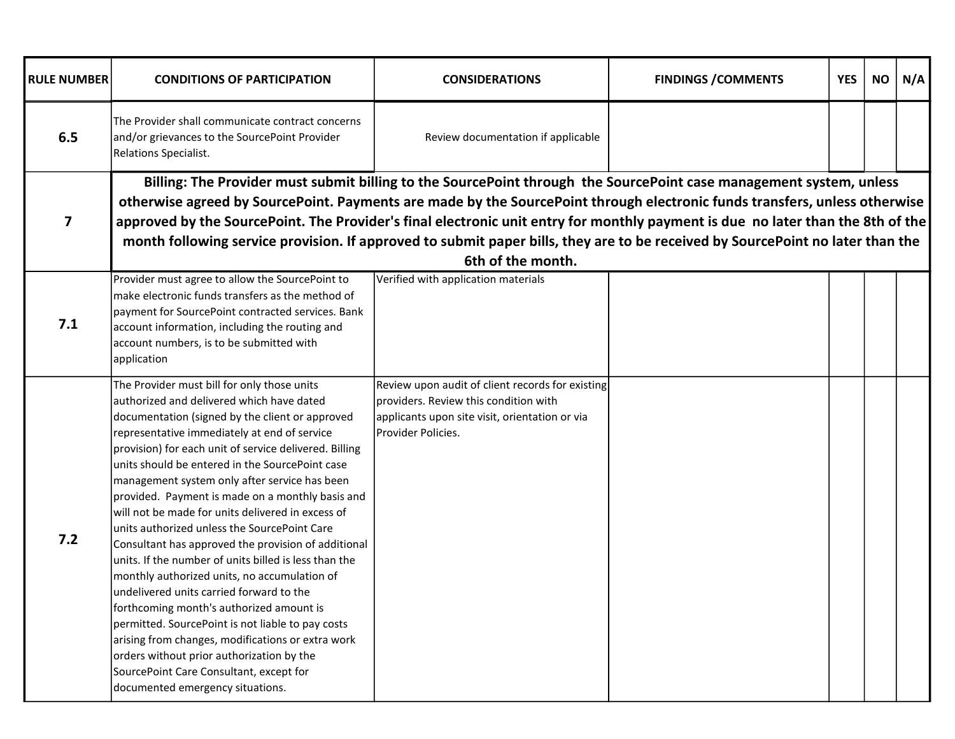| <b>RULE NUMBER</b>      | <b>CONDITIONS OF PARTICIPATION</b>                                                                                                                                                                                                                                                                                                                                                                                                                                                                                                                                                                                                                                                                                                                                                                                                                                                                                                                                                                               | <b>CONSIDERATIONS</b>                                                                                                                                             | <b>FINDINGS / COMMENTS</b> | <b>YES</b> | <b>NO</b> | N/A |
|-------------------------|------------------------------------------------------------------------------------------------------------------------------------------------------------------------------------------------------------------------------------------------------------------------------------------------------------------------------------------------------------------------------------------------------------------------------------------------------------------------------------------------------------------------------------------------------------------------------------------------------------------------------------------------------------------------------------------------------------------------------------------------------------------------------------------------------------------------------------------------------------------------------------------------------------------------------------------------------------------------------------------------------------------|-------------------------------------------------------------------------------------------------------------------------------------------------------------------|----------------------------|------------|-----------|-----|
| 6.5                     | The Provider shall communicate contract concerns<br>and/or grievances to the SourcePoint Provider<br>Relations Specialist.                                                                                                                                                                                                                                                                                                                                                                                                                                                                                                                                                                                                                                                                                                                                                                                                                                                                                       | Review documentation if applicable                                                                                                                                |                            |            |           |     |
| $\overline{\mathbf{z}}$ | otherwise agreed by SourcePoint. Payments are made by the SourcePoint through electronic funds transfers, unless otherwise<br>approved by the SourcePoint. The Provider's final electronic unit entry for monthly payment is due no later than the 8th of the<br>month following service provision. If approved to submit paper bills, they are to be received by SourcePoint no later than the                                                                                                                                                                                                                                                                                                                                                                                                                                                                                                                                                                                                                  | Billing: The Provider must submit billing to the SourcePoint through the SourcePoint case management system, unless<br>6th of the month.                          |                            |            |           |     |
| 7.1                     | Provider must agree to allow the SourcePoint to<br>make electronic funds transfers as the method of<br>payment for SourcePoint contracted services. Bank<br>account information, including the routing and<br>account numbers, is to be submitted with<br>application                                                                                                                                                                                                                                                                                                                                                                                                                                                                                                                                                                                                                                                                                                                                            | Verified with application materials                                                                                                                               |                            |            |           |     |
| $7.2$                   | The Provider must bill for only those units<br>authorized and delivered which have dated<br>documentation (signed by the client or approved<br>representative immediately at end of service<br>provision) for each unit of service delivered. Billing<br>units should be entered in the SourcePoint case<br>management system only after service has been<br>provided. Payment is made on a monthly basis and<br>will not be made for units delivered in excess of<br>units authorized unless the SourcePoint Care<br>Consultant has approved the provision of additional<br>units. If the number of units billed is less than the<br>monthly authorized units, no accumulation of<br>undelivered units carried forward to the<br>forthcoming month's authorized amount is<br>permitted. SourcePoint is not liable to pay costs<br>arising from changes, modifications or extra work<br>orders without prior authorization by the<br>SourcePoint Care Consultant, except for<br>documented emergency situations. | Review upon audit of client records for existing<br>providers. Review this condition with<br>applicants upon site visit, orientation or via<br>Provider Policies. |                            |            |           |     |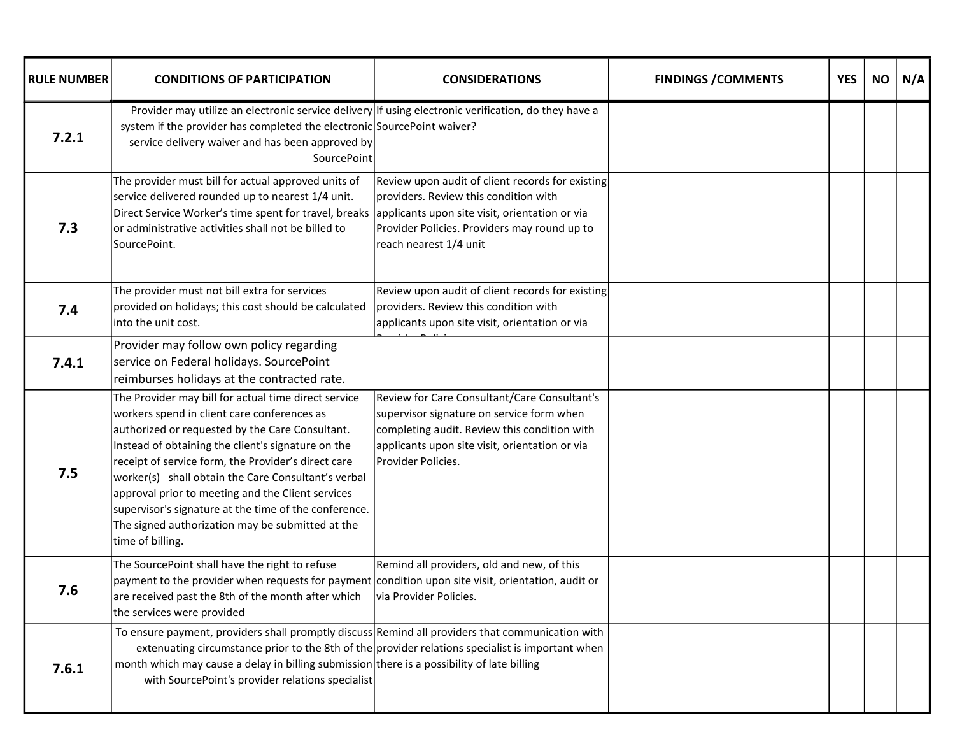| <b>RULE NUMBER</b> | <b>CONDITIONS OF PARTICIPATION</b>                                                                                                                                                                                                                                                                                                                                                                                                                                                                               | <b>CONSIDERATIONS</b>                                                                                                                                                                                             | <b>FINDINGS / COMMENTS</b> | <b>YES</b> | <b>NO</b> | N/A |
|--------------------|------------------------------------------------------------------------------------------------------------------------------------------------------------------------------------------------------------------------------------------------------------------------------------------------------------------------------------------------------------------------------------------------------------------------------------------------------------------------------------------------------------------|-------------------------------------------------------------------------------------------------------------------------------------------------------------------------------------------------------------------|----------------------------|------------|-----------|-----|
| 7.2.1              | Provider may utilize an electronic service delivery If using electronic verification, do they have a<br>system if the provider has completed the electronic SourcePoint waiver?<br>service delivery waiver and has been approved by<br>SourcePoint                                                                                                                                                                                                                                                               |                                                                                                                                                                                                                   |                            |            |           |     |
| 7.3                | The provider must bill for actual approved units of<br>service delivered rounded up to nearest 1/4 unit.<br>Direct Service Worker's time spent for travel, breaks applicants upon site visit, orientation or via<br>or administrative activities shall not be billed to<br>SourcePoint.                                                                                                                                                                                                                          | Review upon audit of client records for existing<br>providers. Review this condition with<br>Provider Policies. Providers may round up to<br>reach nearest 1/4 unit                                               |                            |            |           |     |
| 7.4                | The provider must not bill extra for services<br>provided on holidays; this cost should be calculated<br>into the unit cost.                                                                                                                                                                                                                                                                                                                                                                                     | Review upon audit of client records for existing<br>providers. Review this condition with<br>applicants upon site visit, orientation or via                                                                       |                            |            |           |     |
| 7.4.1              | Provider may follow own policy regarding<br>service on Federal holidays. SourcePoint<br>reimburses holidays at the contracted rate.                                                                                                                                                                                                                                                                                                                                                                              |                                                                                                                                                                                                                   |                            |            |           |     |
| 7.5                | The Provider may bill for actual time direct service<br>workers spend in client care conferences as<br>authorized or requested by the Care Consultant.<br>Instead of obtaining the client's signature on the<br>receipt of service form, the Provider's direct care<br>worker(s) shall obtain the Care Consultant's verbal<br>approval prior to meeting and the Client services<br>supervisor's signature at the time of the conference.<br>The signed authorization may be submitted at the<br>time of billing. | Review for Care Consultant/Care Consultant's<br>supervisor signature on service form when<br>completing audit. Review this condition with<br>applicants upon site visit, orientation or via<br>Provider Policies. |                            |            |           |     |
| 7.6                | The SourcePoint shall have the right to refuse<br>payment to the provider when requests for payment condition upon site visit, orientation, audit or<br>are received past the 8th of the month after which $\frac{1}{1}$ via Provider Policies.<br>the services were provided                                                                                                                                                                                                                                    | Remind all providers, old and new, of this                                                                                                                                                                        |                            |            |           |     |
| 7.6.1              | To ensure payment, providers shall promptly discuss Remind all providers that communication with<br>extenuating circumstance prior to the 8th of the provider relations specialist is important when<br>month which may cause a delay in billing submission there is a possibility of late billing<br>with SourcePoint's provider relations specialist                                                                                                                                                           |                                                                                                                                                                                                                   |                            |            |           |     |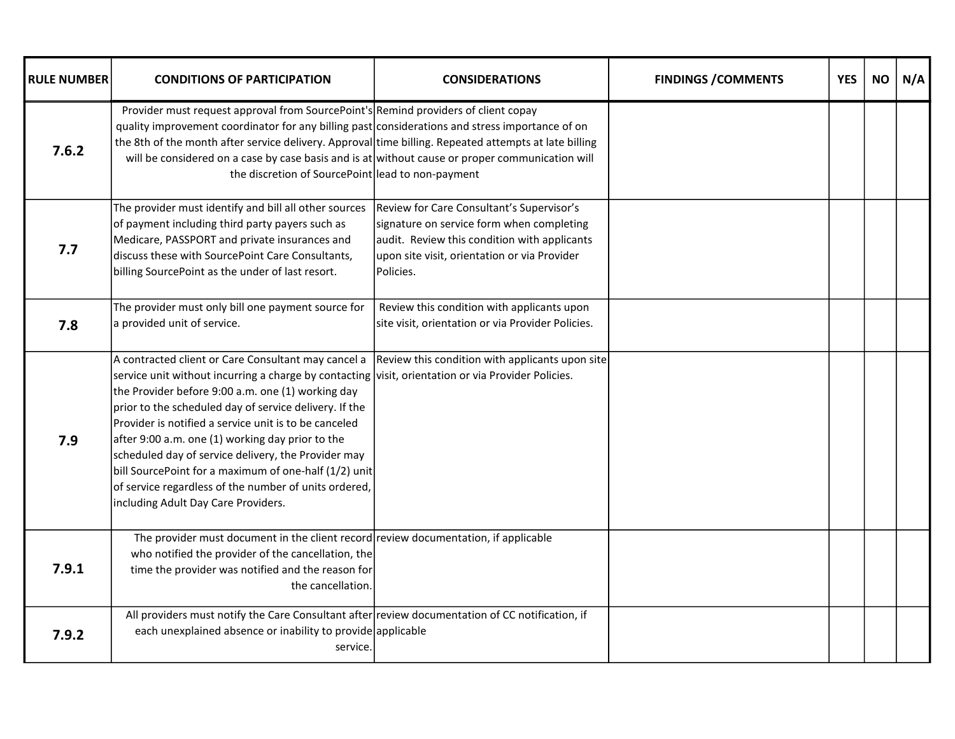| <b>RULE NUMBER</b> | <b>CONDITIONS OF PARTICIPATION</b>                                                                                                                                                                                                                                                                                                                                                                                                                                                                                                                                                                    | <b>CONSIDERATIONS</b>                                                                                                                                                                               | <b>FINDINGS / COMMENTS</b> | <b>YES</b> | <b>NO</b> | N/A |
|--------------------|-------------------------------------------------------------------------------------------------------------------------------------------------------------------------------------------------------------------------------------------------------------------------------------------------------------------------------------------------------------------------------------------------------------------------------------------------------------------------------------------------------------------------------------------------------------------------------------------------------|-----------------------------------------------------------------------------------------------------------------------------------------------------------------------------------------------------|----------------------------|------------|-----------|-----|
| 7.6.2              | Provider must request approval from SourcePoint's Remind providers of client copay<br>quality improvement coordinator for any billing past considerations and stress importance of on<br>the 8th of the month after service delivery. Approval time billing. Repeated attempts at late billing<br>will be considered on a case by case basis and is at without cause or proper communication will<br>the discretion of SourcePoint lead to non-payment                                                                                                                                                |                                                                                                                                                                                                     |                            |            |           |     |
| 7.7                | The provider must identify and bill all other sources<br>of payment including third party payers such as<br>Medicare, PASSPORT and private insurances and<br>discuss these with SourcePoint Care Consultants,<br>billing SourcePoint as the under of last resort.                                                                                                                                                                                                                                                                                                                                     | Review for Care Consultant's Supervisor's<br>signature on service form when completing<br>audit. Review this condition with applicants<br>upon site visit, orientation or via Provider<br>Policies. |                            |            |           |     |
| 7.8                | The provider must only bill one payment source for<br>a provided unit of service.                                                                                                                                                                                                                                                                                                                                                                                                                                                                                                                     | Review this condition with applicants upon<br>site visit, orientation or via Provider Policies.                                                                                                     |                            |            |           |     |
| 7.9                | A contracted client or Care Consultant may cancel a<br>service unit without incurring a charge by contacting visit, orientation or via Provider Policies.<br>the Provider before 9:00 a.m. one (1) working day<br>prior to the scheduled day of service delivery. If the<br>Provider is notified a service unit is to be canceled<br>after 9:00 a.m. one (1) working day prior to the<br>scheduled day of service delivery, the Provider may<br>bill SourcePoint for a maximum of one-half (1/2) unit<br>of service regardless of the number of units ordered,<br>including Adult Day Care Providers. | Review this condition with applicants upon site                                                                                                                                                     |                            |            |           |     |
| 7.9.1              | The provider must document in the client record review documentation, if applicable<br>who notified the provider of the cancellation, the<br>time the provider was notified and the reason for<br>the cancellation.                                                                                                                                                                                                                                                                                                                                                                                   |                                                                                                                                                                                                     |                            |            |           |     |
| 7.9.2              | All providers must notify the Care Consultant after review documentation of CC notification, if<br>each unexplained absence or inability to provide applicable<br>service.                                                                                                                                                                                                                                                                                                                                                                                                                            |                                                                                                                                                                                                     |                            |            |           |     |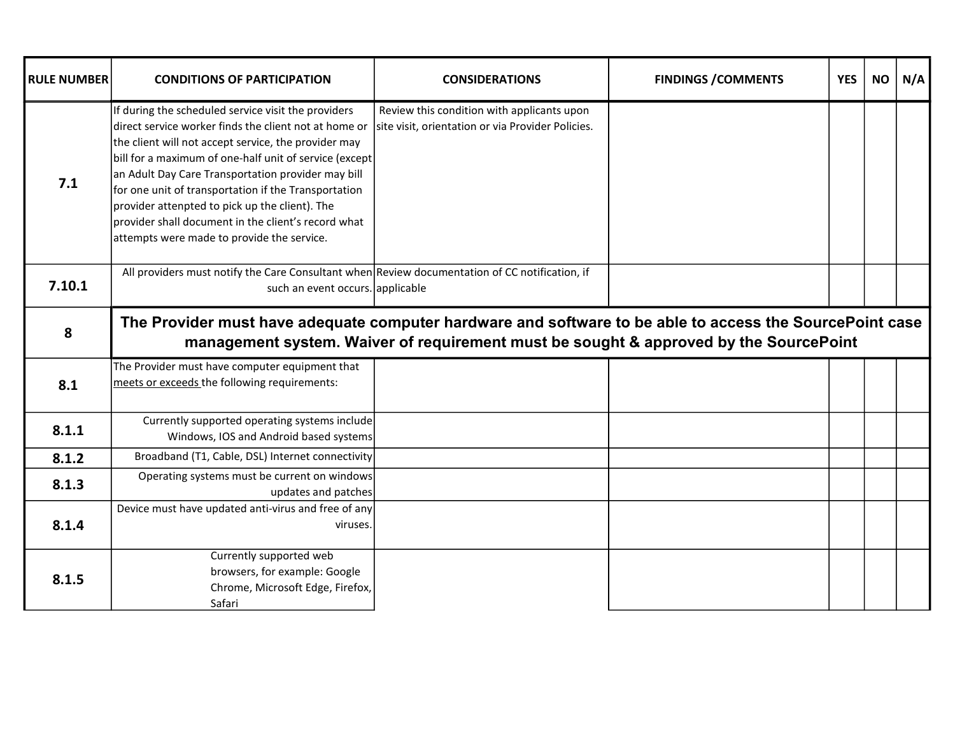| <b>RULE NUMBER</b> | <b>CONDITIONS OF PARTICIPATION</b>                                                                                                                                                                                                                                                                                                                                                                                                                                                                  | <b>CONSIDERATIONS</b>                                                                           | <b>FINDINGS / COMMENTS</b> | <b>YES</b> | <b>NO</b> | N/A |
|--------------------|-----------------------------------------------------------------------------------------------------------------------------------------------------------------------------------------------------------------------------------------------------------------------------------------------------------------------------------------------------------------------------------------------------------------------------------------------------------------------------------------------------|-------------------------------------------------------------------------------------------------|----------------------------|------------|-----------|-----|
| 7.1                | If during the scheduled service visit the providers<br>direct service worker finds the client not at home or<br>the client will not accept service, the provider may<br>bill for a maximum of one-half unit of service (except<br>an Adult Day Care Transportation provider may bill<br>for one unit of transportation if the Transportation<br>provider attenpted to pick up the client). The<br>provider shall document in the client's record what<br>attempts were made to provide the service. | Review this condition with applicants upon<br>site visit, orientation or via Provider Policies. |                            |            |           |     |
| 7.10.1             | All providers must notify the Care Consultant when Review documentation of CC notification, if<br>such an event occurs. applicable                                                                                                                                                                                                                                                                                                                                                                  |                                                                                                 |                            |            |           |     |
| 8                  | The Provider must have adequate computer hardware and software to be able to access the SourcePoint case                                                                                                                                                                                                                                                                                                                                                                                            | management system. Waiver of requirement must be sought & approved by the SourcePoint           |                            |            |           |     |
| 8.1                | The Provider must have computer equipment that<br>meets or exceeds the following requirements:                                                                                                                                                                                                                                                                                                                                                                                                      |                                                                                                 |                            |            |           |     |
| 8.1.1              | Currently supported operating systems include<br>Windows, IOS and Android based systems                                                                                                                                                                                                                                                                                                                                                                                                             |                                                                                                 |                            |            |           |     |
| 8.1.2              | Broadband (T1, Cable, DSL) Internet connectivity                                                                                                                                                                                                                                                                                                                                                                                                                                                    |                                                                                                 |                            |            |           |     |
| 8.1.3              | Operating systems must be current on windows<br>updates and patches                                                                                                                                                                                                                                                                                                                                                                                                                                 |                                                                                                 |                            |            |           |     |
| 8.1.4              | Device must have updated anti-virus and free of any<br>viruses.                                                                                                                                                                                                                                                                                                                                                                                                                                     |                                                                                                 |                            |            |           |     |
| 8.1.5              | Currently supported web<br>browsers, for example: Google<br>Chrome, Microsoft Edge, Firefox,<br>Safari                                                                                                                                                                                                                                                                                                                                                                                              |                                                                                                 |                            |            |           |     |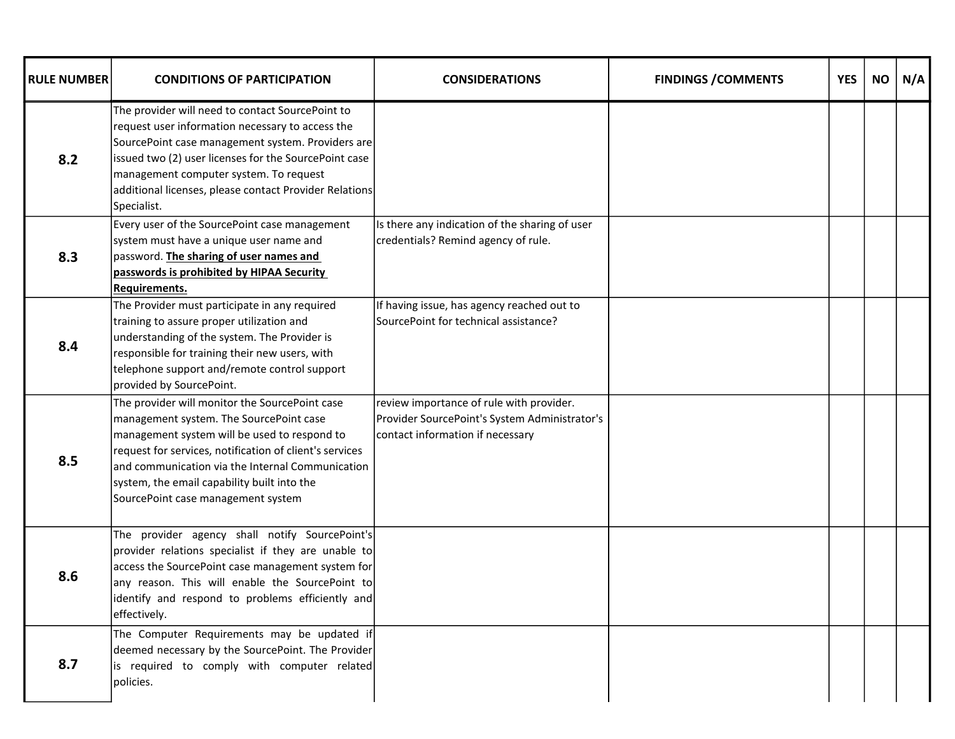| <b>RULE NUMBER</b> | <b>CONDITIONS OF PARTICIPATION</b>                                                                                                                                                                                                                                                                                                            | <b>CONSIDERATIONS</b>                                                                                                         | <b>FINDINGS / COMMENTS</b> | <b>YES</b> | <b>NO</b> | N/A |
|--------------------|-----------------------------------------------------------------------------------------------------------------------------------------------------------------------------------------------------------------------------------------------------------------------------------------------------------------------------------------------|-------------------------------------------------------------------------------------------------------------------------------|----------------------------|------------|-----------|-----|
| 8.2                | The provider will need to contact SourcePoint to<br>request user information necessary to access the<br>SourcePoint case management system. Providers are<br>issued two (2) user licenses for the SourcePoint case<br>management computer system. To request<br>additional licenses, please contact Provider Relations<br>Specialist.         |                                                                                                                               |                            |            |           |     |
| 8.3                | Every user of the SourcePoint case management<br>system must have a unique user name and<br>password. The sharing of user names and<br>passwords is prohibited by HIPAA Security<br><b>Requirements.</b>                                                                                                                                      | Is there any indication of the sharing of user<br>credentials? Remind agency of rule.                                         |                            |            |           |     |
| 8.4                | The Provider must participate in any required<br>training to assure proper utilization and<br>understanding of the system. The Provider is<br>responsible for training their new users, with<br>telephone support and/remote control support<br>provided by SourcePoint.                                                                      | If having issue, has agency reached out to<br>SourcePoint for technical assistance?                                           |                            |            |           |     |
| 8.5                | The provider will monitor the SourcePoint case<br>management system. The SourcePoint case<br>management system will be used to respond to<br>request for services, notification of client's services<br>and communication via the Internal Communication<br>system, the email capability built into the<br>SourcePoint case management system | review importance of rule with provider.<br>Provider SourcePoint's System Administrator's<br>contact information if necessary |                            |            |           |     |
| 8.6                | The provider agency shall notify SourcePoint's<br>provider relations specialist if they are unable to<br>access the SourcePoint case management system for<br>any reason. This will enable the SourcePoint to<br>identify and respond to problems efficiently and<br>effectively.                                                             |                                                                                                                               |                            |            |           |     |
| 8.7                | The Computer Requirements may be updated if<br>deemed necessary by the SourcePoint. The Provider<br>is required to comply with computer related<br>policies.                                                                                                                                                                                  |                                                                                                                               |                            |            |           |     |